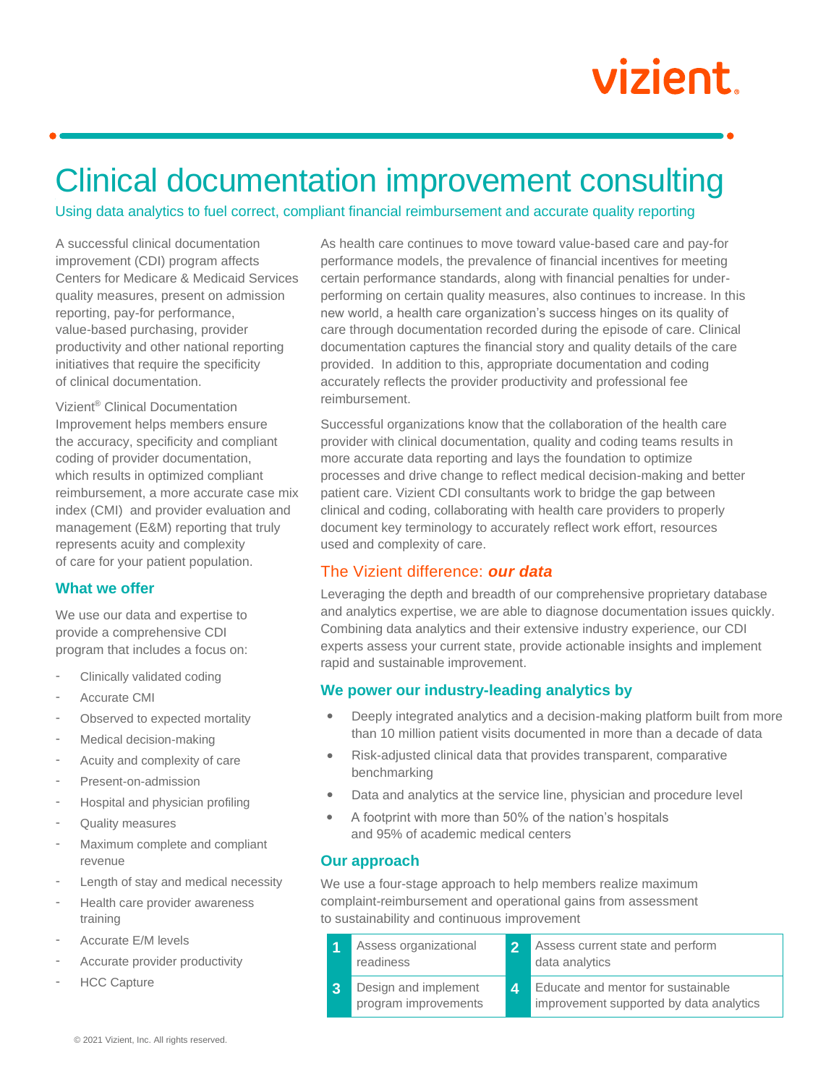# vizient.

# Clinical documentation improvement consulting

Using data analytics to fuel correct, compliant financial reimbursement and accurate quality reporting

A successful clinical documentation improvement (CDI) program affects Centers for Medicare & Medicaid Services quality measures, present on admission reporting, pay-for performance, value-based purchasing, provider productivity and other national reporting initiatives that require the specificity of clinical documentation.

Vizient® Clinical Documentation Improvement helps members ensure the accuracy, specificity and compliant coding of provider documentation, which results in optimized compliant reimbursement, a more accurate case mix index (CMI) and provider evaluation and management (E&M) reporting that truly represents acuity and complexity of care for your patient population.

# **What we offer**

We use our data and expertise to provide a comprehensive CDI program that includes a focus on:

- Clinically validated coding
- Accurate CMI
- Observed to expected mortality
- Medical decision-making
- Acuity and complexity of care
- Present-on-admission
- Hospital and physician profiling
- Quality measures
- Maximum complete and compliant revenue
- Length of stay and medical necessity
- Health care provider awareness training
- Accurate E/M levels
- Accurate provider productivity
- **HCC Capture**

As health care continues to move toward value-based care and pay-for performance models, the prevalence of financial incentives for meeting certain performance standards, along with financial penalties for underperforming on certain quality measures, also continues to increase. In this new world, a health care organization's success hinges on its quality of care through documentation recorded during the episode of care. Clinical documentation captures the financial story and quality details of the care provided. In addition to this, appropriate documentation and coding accurately reflects the provider productivity and professional fee reimbursement.

Successful organizations know that the collaboration of the health care provider with clinical documentation, quality and coding teams results in more accurate data reporting and lays the foundation to optimize processes and drive change to reflect medical decision-making and better patient care. Vizient CDI consultants work to bridge the gap between clinical and coding, collaborating with health care providers to properly document key terminology to accurately reflect work effort, resources used and complexity of care.

# The Vizient difference: *our data*

Leveraging the depth and breadth of our comprehensive proprietary database and analytics expertise, we are able to diagnose documentation issues quickly. Combining data analytics and their extensive industry experience, our CDI experts assess your current state, provide actionable insights and implement rapid and sustainable improvement.

#### **We power our industry-leading analytics by**

- Deeply integrated analytics and a decision-making platform built from more than 10 million patient visits documented in more than a decade of data
- Risk-adjusted clinical data that provides transparent, comparative benchmarking
- Data and analytics at the service line, physician and procedure level
- A footprint with more than 50% of the nation's hospitals and 95% of academic medical centers

# **Our approach**

We use a four-stage approach to help members realize maximum complaint-reimbursement and operational gains from assessment to sustainability and continuous improvement

|   | Assess organizational<br>readiness           |                        | Assess current state and perform<br>data analytics                            |
|---|----------------------------------------------|------------------------|-------------------------------------------------------------------------------|
| 3 | Design and implement<br>program improvements | $\boldsymbol{\Lambda}$ | Educate and mentor for sustainable<br>improvement supported by data analytics |